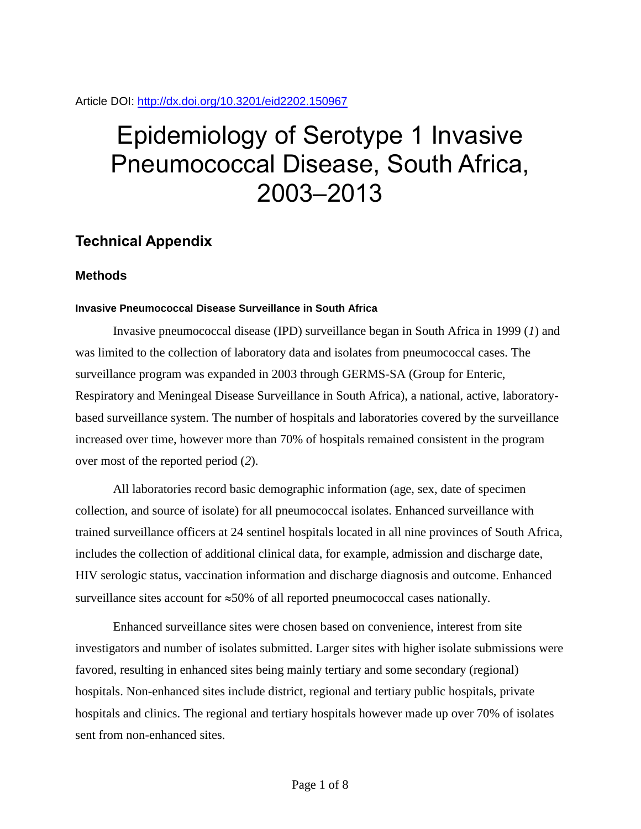## Article DOI:<http://dx.doi.org/10.3201/eid2202.150967>

# Epidemiology of Serotype 1 Invasive Pneumococcal Disease, South Africa, 2003–2013

# **Technical Appendix**

## **Methods**

## **Invasive Pneumococcal Disease Surveillance in South Africa**

Invasive pneumococcal disease (IPD) surveillance began in South Africa in 1999 (*1*) and was limited to the collection of laboratory data and isolates from pneumococcal cases. The surveillance program was expanded in 2003 through GERMS-SA (Group for Enteric, Respiratory and Meningeal Disease Surveillance in South Africa), a national, active, laboratorybased surveillance system. The number of hospitals and laboratories covered by the surveillance increased over time, however more than 70% of hospitals remained consistent in the program over most of the reported period (*2*).

All laboratories record basic demographic information (age, sex, date of specimen collection, and source of isolate) for all pneumococcal isolates. Enhanced surveillance with trained surveillance officers at 24 sentinel hospitals located in all nine provinces of South Africa, includes the collection of additional clinical data, for example, admission and discharge date, HIV serologic status, vaccination information and discharge diagnosis and outcome. Enhanced surveillance sites account for  $\approx$  50% of all reported pneumococcal cases nationally.

Enhanced surveillance sites were chosen based on convenience, interest from site investigators and number of isolates submitted. Larger sites with higher isolate submissions were favored, resulting in enhanced sites being mainly tertiary and some secondary (regional) hospitals. Non-enhanced sites include district, regional and tertiary public hospitals, private hospitals and clinics. The regional and tertiary hospitals however made up over 70% of isolates sent from non-enhanced sites.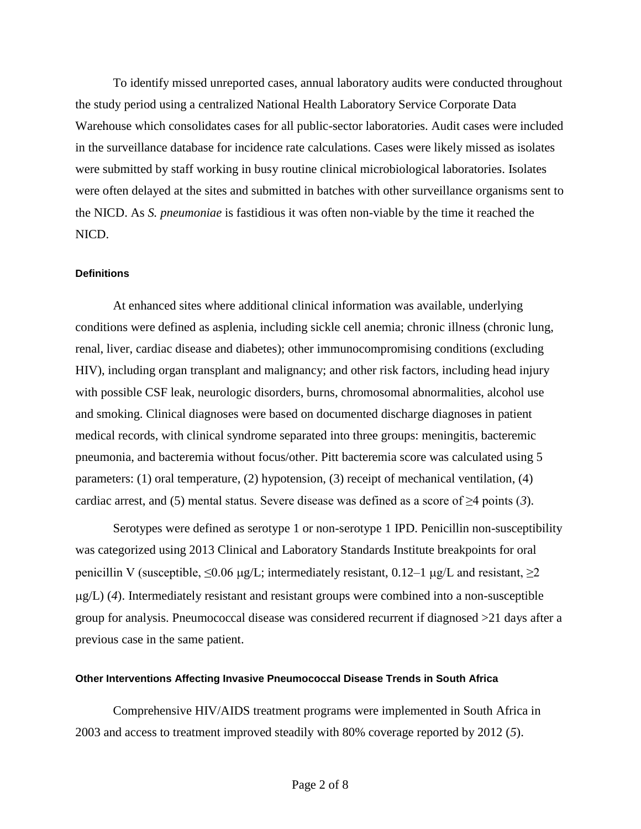To identify missed unreported cases, annual laboratory audits were conducted throughout the study period using a centralized National Health Laboratory Service Corporate Data Warehouse which consolidates cases for all public-sector laboratories. Audit cases were included in the surveillance database for incidence rate calculations. Cases were likely missed as isolates were submitted by staff working in busy routine clinical microbiological laboratories. Isolates were often delayed at the sites and submitted in batches with other surveillance organisms sent to the NICD. As *S. pneumoniae* is fastidious it was often non-viable by the time it reached the NICD.

#### **Definitions**

At enhanced sites where additional clinical information was available, underlying conditions were defined as asplenia, including sickle cell anemia; chronic illness (chronic lung, renal, liver, cardiac disease and diabetes); other immunocompromising conditions (excluding HIV), including organ transplant and malignancy; and other risk factors, including head injury with possible CSF leak, neurologic disorders, burns, chromosomal abnormalities, alcohol use and smoking. Clinical diagnoses were based on documented discharge diagnoses in patient medical records, with clinical syndrome separated into three groups: meningitis, bacteremic pneumonia, and bacteremia without focus/other. Pitt bacteremia score was calculated using 5 parameters: (1) oral temperature, (2) hypotension, (3) receipt of mechanical ventilation, (4) cardiac arrest, and (5) mental status. Severe disease was defined as a score of ≥4 points (*3*).

Serotypes were defined as serotype 1 or non-serotype 1 IPD. Penicillin non-susceptibility was categorized using 2013 Clinical and Laboratory Standards Institute breakpoints for oral penicillin V (susceptible,  $\leq 0.06$  µg/L; intermediately resistant, 0.12–1 µg/L and resistant,  $\geq 2$ g/L) (*4*). Intermediately resistant and resistant groups were combined into a non-susceptible group for analysis. Pneumococcal disease was considered recurrent if diagnosed >21 days after a previous case in the same patient.

#### **Other Interventions Affecting Invasive Pneumococcal Disease Trends in South Africa**

Comprehensive HIV/AIDS treatment programs were implemented in South Africa in 2003 and access to treatment improved steadily with 80% coverage reported by 2012 (*5*).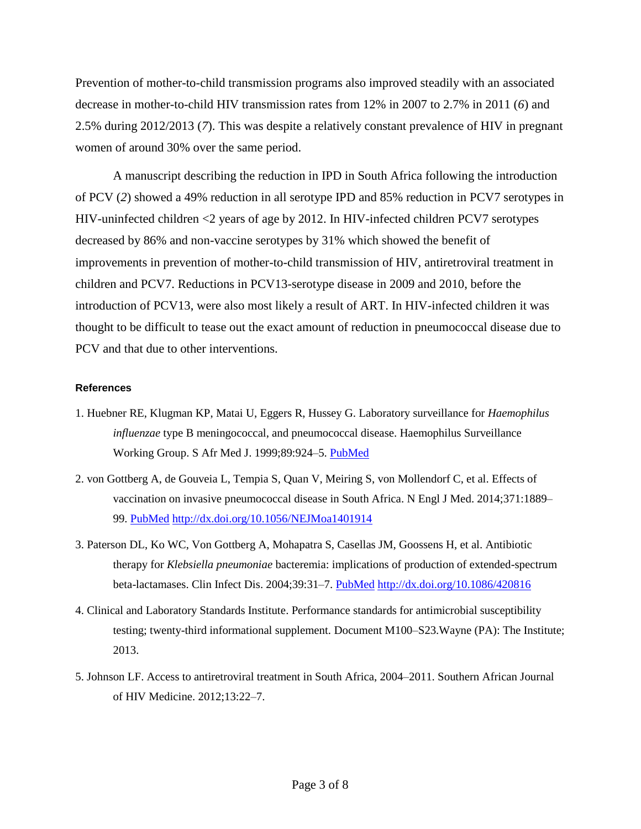Prevention of mother-to-child transmission programs also improved steadily with an associated decrease in mother-to-child HIV transmission rates from 12% in 2007 to 2.7% in 2011 (*6*) and 2.5% during 2012/2013 (*7*). This was despite a relatively constant prevalence of HIV in pregnant women of around 30% over the same period.

A manuscript describing the reduction in IPD in South Africa following the introduction of PCV (*2*) showed a 49% reduction in all serotype IPD and 85% reduction in PCV7 serotypes in HIV-uninfected children <2 years of age by 2012. In HIV-infected children PCV7 serotypes decreased by 86% and non-vaccine serotypes by 31% which showed the benefit of improvements in prevention of mother-to-child transmission of HIV, antiretroviral treatment in children and PCV7. Reductions in PCV13-serotype disease in 2009 and 2010, before the introduction of PCV13, were also most likely a result of ART. In HIV-infected children it was thought to be difficult to tease out the exact amount of reduction in pneumococcal disease due to PCV and that due to other interventions.

#### **References**

- 1. Huebner RE, Klugman KP, Matai U, Eggers R, Hussey G. Laboratory surveillance for *Haemophilus influenzae* type B meningococcal, and pneumococcal disease. Haemophilus Surveillance Working Group. S Afr Med J. 1999;89:924-5. [PubMed](http://www.ncbi.nlm.nih.gov/entrez/query.fcgi?cmd=Retrieve&db=PubMed&list_uids=10554623&dopt=Abstract)
- 2. von Gottberg A, de Gouveia L, Tempia S, Quan V, Meiring S, von Mollendorf C, et al. Effects of vaccination on invasive pneumococcal disease in South Africa. N Engl J Med. 2014;371:1889– 99. [PubMed](http://www.ncbi.nlm.nih.gov/entrez/query.fcgi?cmd=Retrieve&db=PubMed&list_uids=25386897&dopt=Abstract) <http://dx.doi.org/10.1056/NEJMoa1401914>
- 3. Paterson DL, Ko WC, Von Gottberg A, Mohapatra S, Casellas JM, Goossens H, et al. Antibiotic therapy for *Klebsiella pneumoniae* bacteremia: implications of production of extended-spectrum beta-lactamases. Clin Infect Dis. 2004;39:31–7. [PubMed](http://www.ncbi.nlm.nih.gov/entrez/query.fcgi?cmd=Retrieve&db=PubMed&list_uids=15206050&dopt=Abstract) <http://dx.doi.org/10.1086/420816>
- 4. Clinical and Laboratory Standards Institute. Performance standards for antimicrobial susceptibility testing; twenty-third informational supplement. Document M100–S23.Wayne (PA): The Institute; 2013.
- 5. Johnson LF. Access to antiretroviral treatment in South Africa, 2004–2011. Southern African Journal of HIV Medicine. 2012;13:22–7.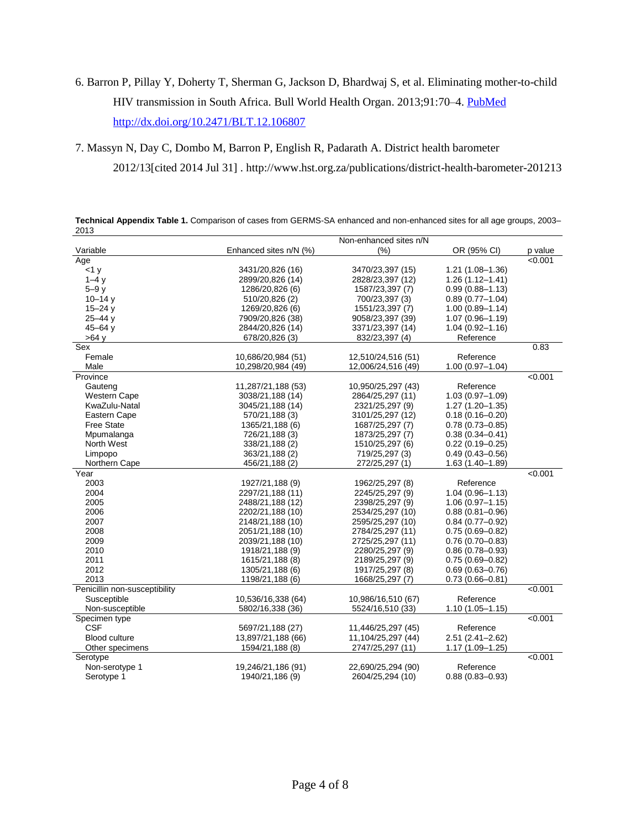# 6. Barron P, Pillay Y, Doherty T, Sherman G, Jackson D, Bhardwaj S, et al. Eliminating mother-to-child HIV transmission in South Africa. Bull World Health Organ. 2013;91:70-4. [PubMed](http://www.ncbi.nlm.nih.gov/entrez/query.fcgi?cmd=Retrieve&db=PubMed&list_uids=23397353&dopt=Abstract) <http://dx.doi.org/10.2471/BLT.12.106807>

7. Massyn N, Day C, Dombo M, Barron P, English R, Padarath A. District health barometer 2012/13[cited 2014 Jul 31] . http://www.hst.org.za/publications/district-health-barometer-201213

| ∠∪⊥ບ                          |                        |                    |                     |         |
|-------------------------------|------------------------|--------------------|---------------------|---------|
|                               | Non-enhanced sites n/N |                    |                     |         |
| Variable                      | Enhanced sites n/N (%) | (%)                | OR (95% CI)         | p value |
| Age                           |                        |                    |                     | < 0.001 |
| <1 y                          | 3431/20,826 (16)       | 3470/23,397 (15)   | $1.21(1.08 - 1.36)$ |         |
| $1-4v$                        | 2899/20.826 (14)       | 2828/23,397 (12)   | $1.26(1.12 - 1.41)$ |         |
| $5-9y$                        | 1286/20,826 (6)        | 1587/23,397 (7)    | $0.99(0.88 - 1.13)$ |         |
| $10 - 14y$                    | 510/20,826 (2)         | 700/23,397 (3)     | $0.89(0.77 - 1.04)$ |         |
| $15 - 24$ y                   | 1269/20,826 (6)        | 1551/23,397 (7)    | $1.00(0.89 - 1.14)$ |         |
| $25 - 44$ y                   | 7909/20,826 (38)       | 9058/23,397 (39)   | $1.07(0.96 - 1.19)$ |         |
| 45 $-64y$                     | 2844/20,826 (14)       | 3371/23,397 (14)   | $1.04(0.92 - 1.16)$ |         |
| $>64$ y                       | 678/20,826 (3)         | 832/23,397 (4)     | Reference           |         |
| Sex                           |                        |                    |                     | 0.83    |
| Female                        | 10,686/20,984 (51)     | 12,510/24,516 (51) | Reference           |         |
| Male                          | 10,298/20,984 (49)     | 12,006/24,516 (49) | $1.00(0.97 - 1.04)$ |         |
| Province                      |                        |                    |                     | < 0.001 |
| Gauteng                       | 11,287/21,188 (53)     | 10,950/25,297 (43) | Reference           |         |
| Western Cape                  | 3038/21,188 (14)       | 2864/25,297 (11)   | $1.03(0.97 - 1.09)$ |         |
| KwaZulu-Natal                 | 3045/21,188 (14)       | 2321/25,297 (9)    | $1.27(1.20 - 1.35)$ |         |
| Eastern Cape                  | 570/21,188 (3)         | 3101/25,297 (12)   | $0.18(0.16 - 0.20)$ |         |
| <b>Free State</b>             | 1365/21,188 (6)        | 1687/25,297 (7)    | $0.78(0.73 - 0.85)$ |         |
|                               |                        |                    |                     |         |
| Mpumalanga                    | 726/21,188 (3)         | 1873/25,297 (7)    | $0.38(0.34 - 0.41)$ |         |
| North West                    | 338/21,188 (2)         | 1510/25,297 (6)    | 0.22 (0.19–0.25)    |         |
| Limpopo                       | 363/21,188 (2)         | 719/25,297 (3)     | $0.49(0.43 - 0.56)$ |         |
| Northern Cape                 | 456/21,188 (2)         | 272/25,297 (1)     | $1.63(1.40 - 1.89)$ |         |
| $\overline{Y}$ ear            |                        |                    |                     | < 0.001 |
| 2003                          | 1927/21,188 (9)        | 1962/25,297 (8)    | Reference           |         |
| 2004                          | 2297/21,188 (11)       | 2245/25,297 (9)    | $1.04(0.96 - 1.13)$ |         |
| 2005                          | 2488/21,188 (12)       | 2398/25,297 (9)    | $1.06(0.97 - 1.15)$ |         |
| 2006                          | 2202/21,188 (10)       | 2534/25,297 (10)   | $0.88(0.81 - 0.96)$ |         |
| 2007                          | 2148/21,188 (10)       | 2595/25,297 (10)   | $0.84(0.77-0.92)$   |         |
| 2008                          | 2051/21,188 (10)       | 2784/25,297 (11)   | $0.75(0.69 - 0.82)$ |         |
| 2009                          | 2039/21,188 (10)       | 2725/25,297 (11)   | 0.76 (0.70–0.83)    |         |
| 2010                          | 1918/21,188 (9)        | 2280/25,297 (9)    | $0.86(0.78 - 0.93)$ |         |
| 2011                          | 1615/21,188 (8)        | 2189/25,297 (9)    | $0.75(0.69 - 0.82)$ |         |
| 2012                          | 1305/21,188 (6)        | 1917/25,297 (8)    | $0.69(0.63 - 0.76)$ |         |
| 2013                          | 1198/21,188 (6)        | 1668/25,297 (7)    | $0.73(0.66 - 0.81)$ |         |
| Penicillin non-susceptibility |                        |                    |                     | < 0.001 |
| Susceptible                   | 10,536/16,338 (64)     | 10,986/16,510 (67) | Reference           |         |
| Non-susceptible               | 5802/16,338 (36)       | 5524/16,510 (33)   | $1.10(1.05 - 1.15)$ |         |
| Specimen type                 |                        |                    |                     | < 0.001 |
| <b>CSF</b>                    | 5697/21,188 (27)       | 11,446/25,297 (45) | Reference           |         |
| <b>Blood culture</b>          | 13,897/21,188 (66)     | 11,104/25,297 (44) | $2.51(2.41 - 2.62)$ |         |
| Other specimens               | 1594/21,188 (8)        | 2747/25,297 (11)   | $1.17(1.09 - 1.25)$ |         |
| Serotype                      |                        |                    |                     | < 0.001 |
|                               |                        |                    |                     |         |
| Non-serotype 1                | 19,246/21,186 (91)     | 22,690/25,294 (90) | Reference           |         |
| Serotype 1                    | 1940/21,186 (9)        | 2604/25,294 (10)   | $0.88(0.83 - 0.93)$ |         |

**Technical Appendix Table 1.** Comparison of cases from GERMS-SA enhanced and non-enhanced sites for all age groups, 2003– 2013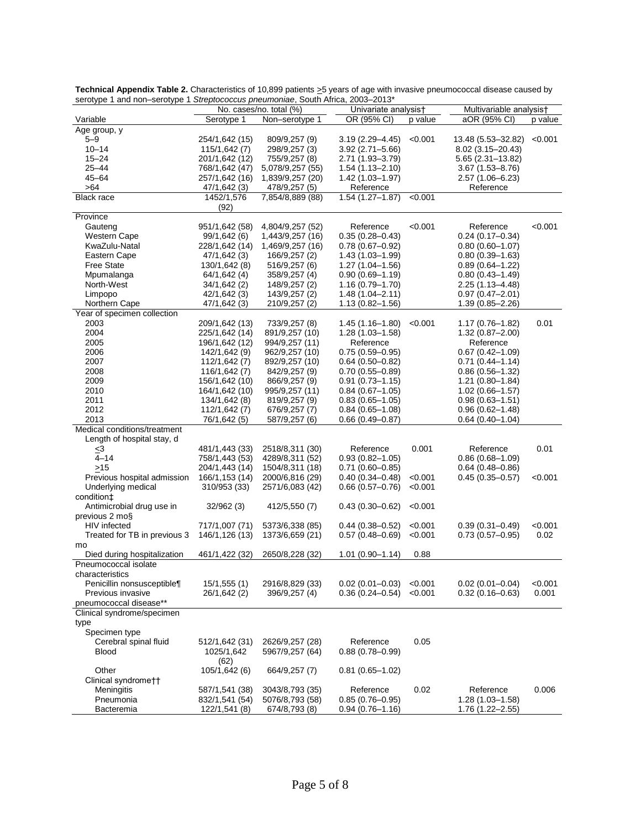| OR (95% CI)<br>aOR (95% CI)<br>Serotype 1<br>Variable<br>Non-serotype 1<br>p value<br>p value<br>Age group, y<br>$5 - 9$<br>$3.19(2.29 - 4.45)$<br>< 0.001<br>13.48 (5.53-32.82)<br>< 0.001<br>254/1,642 (15)<br>809/9,257 (9)<br>$10 - 14$<br>298/9,257 (3)<br>115/1,642 (7)<br>$3.92(2.71 - 5.66)$<br>8.02 (3.15 - 20.43)<br>$15 - 24$<br>755/9,257 (8)<br>$5.65(2.31 - 13.82)$<br>201/1,642 (12)<br>2.71 (1.93-3.79)<br>$25 - 44$<br>768/1,642 (47)<br>5,078/9,257 (55)<br>$3.67(1.53 - 8.76)$<br>$1.54(1.13 - 2.10)$<br>$45 - 64$<br>257/1,642 (16)<br>1,839/9,257 (20)<br>$1.42(1.03 - 1.97)$<br>$2.57(1.06 - 6.23)$<br>>64<br>478/9,257 (5)<br>Reference<br>Reference<br>47/1,642 (3)<br><b>Black race</b><br>1452/1,576<br>7,854/8,889 (88)<br>$1.54(1.27 - 1.87)$<br>< 0.001<br>(92)<br>Province<br>< 0.001<br>< 0.001<br>Gauteng<br>951/1,642 (58)<br>4,804/9,257 (52)<br>Reference<br>Reference<br>$0.35(0.28 - 0.43)$<br>Western Cape<br>99/1,642 (6)<br>1,443/9,257 (16)<br>$0.24(0.17 - 0.34)$<br>KwaZulu-Natal<br>228/1,642 (14)<br>1,469/9,257 (16)<br>$0.78(0.67 - 0.92)$<br>$0.80(0.60 - 1.07)$<br>Eastern Cape<br>47/1,642 (3)<br>166/9,257 (2)<br>$1.43(1.03 - 1.99)$<br>$0.80(0.39 - 1.63)$<br><b>Free State</b><br>130/1,642 (8)<br>516/9,257 (6)<br>$1.27(1.04 - 1.56)$<br>$0.89(0.64 - 1.22)$<br>Mpumalanga<br>64/1,642 (4)<br>358/9,257 (4)<br>$0.90(0.69 - 1.19)$<br>$0.80(0.43 - 1.49)$<br>North-West<br>148/9,257 (2)<br>34/1,642 (2)<br>$1.16(0.79 - 1.70)$<br>$2.25(1.13 - 4.48)$<br>Limpopo<br>143/9,257 (2)<br>$1.48(1.04 - 2.11)$<br>$0.97(0.47 - 2.01)$<br>42/1,642 (3)<br>Northern Cape<br>47/1,642 (3)<br>210/9,257 (2)<br>$1.13(0.82 - 1.56)$<br>1.39 (0.85–2.26)<br>Year of specimen collection<br>2003<br>< 0.001<br>0.01<br>209/1,642 (13)<br>733/9,257 (8)<br>1.45 (1.16–1.80)<br>1.17 (0.76–1.82)<br>2004<br>225/1,642 (14)<br>891/9,257 (10)<br>$1.28(1.03 - 1.58)$<br>$1.32(0.87 - 2.00)$<br>2005<br>196/1,642 (12)<br>994/9,257 (11)<br>Reference<br>Reference<br>2006<br>142/1,642 (9)<br>962/9,257 (10)<br>$0.75(0.59 - 0.95)$<br>$0.67(0.42 - 1.09)$<br>2007<br>112/1,642 (7)<br>892/9,257 (10)<br>$0.64(0.50 - 0.82)$<br>$0.71(0.44 - 1.14)$<br>2008<br>842/9,257 (9)<br>116/1,642 (7)<br>$0.70(0.55 - 0.89)$<br>$0.86(0.56 - 1.32)$<br>2009<br>866/9,257 (9)<br>156/1,642 (10)<br>$0.91(0.73 - 1.15)$<br>$1.21(0.80-1.84)$<br>2010<br>995/9,257 (11)<br>164/1,642 (10)<br>$0.84(0.67 - 1.05)$<br>$1.02(0.66 - 1.57)$<br>2011<br>134/1,642 (8)<br>819/9,257 (9)<br>$0.83(0.65 - 1.05)$<br>$0.98(0.63 - 1.51)$<br>2012<br>676/9,257 (7)<br>112/1,642 (7)<br>$0.84(0.65 - 1.08)$<br>$0.96(0.62 - 1.48)$<br>2013<br>76/1,642 (5)<br>587/9,257 (6)<br>$0.66(0.49 - 0.87)$<br>0.64 (0.40–1.04)<br>Medical conditions/treatment<br>Length of hospital stay, d<br>481/1,443 (33)<br>2518/8,311 (30)<br>Reference<br>0.001<br>Reference<br>0.01<br>$\leq 3$<br>$4 - 14$<br>758/1,443 (53)<br>4289/8,311 (52)<br>$0.93(0.82 - 1.05)$<br>$0.86(0.68 - 1.09)$<br>$>15$<br>204/1,443 (14)<br>1504/8,311 (18)<br>$0.71(0.60 - 0.85)$<br>$0.64(0.48 - 0.86)$<br>Previous hospital admission<br>166/1,153 (14)<br>2000/6,816 (29)<br>$0.40(0.34 - 0.48)$<br>< 0.001<br>$0.45(0.35 - 0.57)$<br><0.001<br>< 0.001<br>Underlying medical<br>310/953 (33)<br>2571/6,083 (42)<br>$0.66(0.57-0.76)$<br>condition‡<br>Antimicrobial drug use in<br>32/962 (3)<br>412/5,550 (7)<br>$0.43(0.30 - 0.62)$<br>< 0.001<br>previous 2 mo§<br>HIV infected<br>717/1,007 (71)<br>< 0.001<br>< 0.001<br>5373/6,338 (85)<br>$0.44(0.38 - 0.52)$<br>$0.39(0.31 - 0.49)$<br>Treated for TB in previous 3<br>146/1,126 (13)<br>< 0.001<br>0.02<br>1373/6,659 (21)<br>$0.57(0.48 - 0.69)$<br>$0.73(0.57 - 0.95)$<br>mo<br>0.88<br>Died during hospitalization<br>461/1,422 (32)<br>2650/8,228 (32)<br>$1.01(0.90 - 1.14)$<br>Pneumococcal isolate<br>characteristics<br>2916/8,829 (33)<br>$0.02(0.01 - 0.04)$<br>< 0.001<br>Penicillin nonsusceptible¶<br>15/1,555(1)<br>$0.02(0.01 - 0.03)$<br>< 0.001<br>Previous invasive<br>$0.36(0.24 - 0.54)$<br>< 0.001<br>$0.32(0.16 - 0.63)$<br>0.001<br>26/1,642 (2)<br>396/9,257 (4)<br>pneumococcal disease**<br>Clinical syndrome/specimen<br>type<br>Specimen type<br>Reference<br>0.05<br>Cerebral spinal fluid<br>512/1,642 (31)<br>2626/9,257 (28)<br><b>Blood</b><br>1025/1,642<br>5967/9,257 (64)<br>$0.88(0.78 - 0.99)$<br>(62)<br>Other<br>105/1,642 (6)<br>664/9,257 (7)<br>$0.81(0.65 - 1.02)$<br>Clinical syndromett<br>Meningitis<br>587/1,541 (38)<br>3043/8,793 (35)<br>Reference<br>0.02<br>Reference<br>0.006<br>Pneumonia<br>832/1,541 (54)<br>5076/8,793 (58)<br>$0.85(0.76 - 0.95)$<br>1.28 (1.03-1.58)<br><b>Bacteremia</b><br>122/1,541 (8)<br>674/8,793 (8)<br>$0.94(0.76 - 1.16)$<br>1.76 (1.22-2.55) | No. cases/no. total (%) |  | Univariate analysis† |  | Multivariable analysis† |  |
|---------------------------------------------------------------------------------------------------------------------------------------------------------------------------------------------------------------------------------------------------------------------------------------------------------------------------------------------------------------------------------------------------------------------------------------------------------------------------------------------------------------------------------------------------------------------------------------------------------------------------------------------------------------------------------------------------------------------------------------------------------------------------------------------------------------------------------------------------------------------------------------------------------------------------------------------------------------------------------------------------------------------------------------------------------------------------------------------------------------------------------------------------------------------------------------------------------------------------------------------------------------------------------------------------------------------------------------------------------------------------------------------------------------------------------------------------------------------------------------------------------------------------------------------------------------------------------------------------------------------------------------------------------------------------------------------------------------------------------------------------------------------------------------------------------------------------------------------------------------------------------------------------------------------------------------------------------------------------------------------------------------------------------------------------------------------------------------------------------------------------------------------------------------------------------------------------------------------------------------------------------------------------------------------------------------------------------------------------------------------------------------------------------------------------------------------------------------------------------------------------------------------------------------------------------------------------------------------------------------------------------------------------------------------------------------------------------------------------------------------------------------------------------------------------------------------------------------------------------------------------------------------------------------------------------------------------------------------------------------------------------------------------------------------------------------------------------------------------------------------------------------------------------------------------------------------------------------------------------------------------------------------------------------------------------------------------------------------------------------------------------------------------------------------------------------------------------------------------------------------------------------------------------------------------------------------------------------------------------------------------------------------------------------------------------------------------------------------------------------------------------------------------------------------------------------------------------------------------------------------------------------------------------------------------------------------------------------------------------------------------------------------------------------------------------------------------------------------------------------------------------------------------------------------------------------------------------------------------------------------------------------------------------------------------------------------------------------------------------------------------------------------------------------------------------------------------------------------------------------------------------------------------------------------------------------------------------------------------------------------------------------------------------------------------------------------------------------------------------------------------------------------------------------|-------------------------|--|----------------------|--|-------------------------|--|
|                                                                                                                                                                                                                                                                                                                                                                                                                                                                                                                                                                                                                                                                                                                                                                                                                                                                                                                                                                                                                                                                                                                                                                                                                                                                                                                                                                                                                                                                                                                                                                                                                                                                                                                                                                                                                                                                                                                                                                                                                                                                                                                                                                                                                                                                                                                                                                                                                                                                                                                                                                                                                                                                                                                                                                                                                                                                                                                                                                                                                                                                                                                                                                                                                                                                                                                                                                                                                                                                                                                                                                                                                                                                                                                                                                                                                                                                                                                                                                                                                                                                                                                                                                                                                                                                                                                                                                                                                                                                                                                                                                                                                                                                                                                                                                                       |                         |  |                      |  |                         |  |
|                                                                                                                                                                                                                                                                                                                                                                                                                                                                                                                                                                                                                                                                                                                                                                                                                                                                                                                                                                                                                                                                                                                                                                                                                                                                                                                                                                                                                                                                                                                                                                                                                                                                                                                                                                                                                                                                                                                                                                                                                                                                                                                                                                                                                                                                                                                                                                                                                                                                                                                                                                                                                                                                                                                                                                                                                                                                                                                                                                                                                                                                                                                                                                                                                                                                                                                                                                                                                                                                                                                                                                                                                                                                                                                                                                                                                                                                                                                                                                                                                                                                                                                                                                                                                                                                                                                                                                                                                                                                                                                                                                                                                                                                                                                                                                                       |                         |  |                      |  |                         |  |
|                                                                                                                                                                                                                                                                                                                                                                                                                                                                                                                                                                                                                                                                                                                                                                                                                                                                                                                                                                                                                                                                                                                                                                                                                                                                                                                                                                                                                                                                                                                                                                                                                                                                                                                                                                                                                                                                                                                                                                                                                                                                                                                                                                                                                                                                                                                                                                                                                                                                                                                                                                                                                                                                                                                                                                                                                                                                                                                                                                                                                                                                                                                                                                                                                                                                                                                                                                                                                                                                                                                                                                                                                                                                                                                                                                                                                                                                                                                                                                                                                                                                                                                                                                                                                                                                                                                                                                                                                                                                                                                                                                                                                                                                                                                                                                                       |                         |  |                      |  |                         |  |
|                                                                                                                                                                                                                                                                                                                                                                                                                                                                                                                                                                                                                                                                                                                                                                                                                                                                                                                                                                                                                                                                                                                                                                                                                                                                                                                                                                                                                                                                                                                                                                                                                                                                                                                                                                                                                                                                                                                                                                                                                                                                                                                                                                                                                                                                                                                                                                                                                                                                                                                                                                                                                                                                                                                                                                                                                                                                                                                                                                                                                                                                                                                                                                                                                                                                                                                                                                                                                                                                                                                                                                                                                                                                                                                                                                                                                                                                                                                                                                                                                                                                                                                                                                                                                                                                                                                                                                                                                                                                                                                                                                                                                                                                                                                                                                                       |                         |  |                      |  |                         |  |
|                                                                                                                                                                                                                                                                                                                                                                                                                                                                                                                                                                                                                                                                                                                                                                                                                                                                                                                                                                                                                                                                                                                                                                                                                                                                                                                                                                                                                                                                                                                                                                                                                                                                                                                                                                                                                                                                                                                                                                                                                                                                                                                                                                                                                                                                                                                                                                                                                                                                                                                                                                                                                                                                                                                                                                                                                                                                                                                                                                                                                                                                                                                                                                                                                                                                                                                                                                                                                                                                                                                                                                                                                                                                                                                                                                                                                                                                                                                                                                                                                                                                                                                                                                                                                                                                                                                                                                                                                                                                                                                                                                                                                                                                                                                                                                                       |                         |  |                      |  |                         |  |
|                                                                                                                                                                                                                                                                                                                                                                                                                                                                                                                                                                                                                                                                                                                                                                                                                                                                                                                                                                                                                                                                                                                                                                                                                                                                                                                                                                                                                                                                                                                                                                                                                                                                                                                                                                                                                                                                                                                                                                                                                                                                                                                                                                                                                                                                                                                                                                                                                                                                                                                                                                                                                                                                                                                                                                                                                                                                                                                                                                                                                                                                                                                                                                                                                                                                                                                                                                                                                                                                                                                                                                                                                                                                                                                                                                                                                                                                                                                                                                                                                                                                                                                                                                                                                                                                                                                                                                                                                                                                                                                                                                                                                                                                                                                                                                                       |                         |  |                      |  |                         |  |
|                                                                                                                                                                                                                                                                                                                                                                                                                                                                                                                                                                                                                                                                                                                                                                                                                                                                                                                                                                                                                                                                                                                                                                                                                                                                                                                                                                                                                                                                                                                                                                                                                                                                                                                                                                                                                                                                                                                                                                                                                                                                                                                                                                                                                                                                                                                                                                                                                                                                                                                                                                                                                                                                                                                                                                                                                                                                                                                                                                                                                                                                                                                                                                                                                                                                                                                                                                                                                                                                                                                                                                                                                                                                                                                                                                                                                                                                                                                                                                                                                                                                                                                                                                                                                                                                                                                                                                                                                                                                                                                                                                                                                                                                                                                                                                                       |                         |  |                      |  |                         |  |
|                                                                                                                                                                                                                                                                                                                                                                                                                                                                                                                                                                                                                                                                                                                                                                                                                                                                                                                                                                                                                                                                                                                                                                                                                                                                                                                                                                                                                                                                                                                                                                                                                                                                                                                                                                                                                                                                                                                                                                                                                                                                                                                                                                                                                                                                                                                                                                                                                                                                                                                                                                                                                                                                                                                                                                                                                                                                                                                                                                                                                                                                                                                                                                                                                                                                                                                                                                                                                                                                                                                                                                                                                                                                                                                                                                                                                                                                                                                                                                                                                                                                                                                                                                                                                                                                                                                                                                                                                                                                                                                                                                                                                                                                                                                                                                                       |                         |  |                      |  |                         |  |
|                                                                                                                                                                                                                                                                                                                                                                                                                                                                                                                                                                                                                                                                                                                                                                                                                                                                                                                                                                                                                                                                                                                                                                                                                                                                                                                                                                                                                                                                                                                                                                                                                                                                                                                                                                                                                                                                                                                                                                                                                                                                                                                                                                                                                                                                                                                                                                                                                                                                                                                                                                                                                                                                                                                                                                                                                                                                                                                                                                                                                                                                                                                                                                                                                                                                                                                                                                                                                                                                                                                                                                                                                                                                                                                                                                                                                                                                                                                                                                                                                                                                                                                                                                                                                                                                                                                                                                                                                                                                                                                                                                                                                                                                                                                                                                                       |                         |  |                      |  |                         |  |
|                                                                                                                                                                                                                                                                                                                                                                                                                                                                                                                                                                                                                                                                                                                                                                                                                                                                                                                                                                                                                                                                                                                                                                                                                                                                                                                                                                                                                                                                                                                                                                                                                                                                                                                                                                                                                                                                                                                                                                                                                                                                                                                                                                                                                                                                                                                                                                                                                                                                                                                                                                                                                                                                                                                                                                                                                                                                                                                                                                                                                                                                                                                                                                                                                                                                                                                                                                                                                                                                                                                                                                                                                                                                                                                                                                                                                                                                                                                                                                                                                                                                                                                                                                                                                                                                                                                                                                                                                                                                                                                                                                                                                                                                                                                                                                                       |                         |  |                      |  |                         |  |
|                                                                                                                                                                                                                                                                                                                                                                                                                                                                                                                                                                                                                                                                                                                                                                                                                                                                                                                                                                                                                                                                                                                                                                                                                                                                                                                                                                                                                                                                                                                                                                                                                                                                                                                                                                                                                                                                                                                                                                                                                                                                                                                                                                                                                                                                                                                                                                                                                                                                                                                                                                                                                                                                                                                                                                                                                                                                                                                                                                                                                                                                                                                                                                                                                                                                                                                                                                                                                                                                                                                                                                                                                                                                                                                                                                                                                                                                                                                                                                                                                                                                                                                                                                                                                                                                                                                                                                                                                                                                                                                                                                                                                                                                                                                                                                                       |                         |  |                      |  |                         |  |
|                                                                                                                                                                                                                                                                                                                                                                                                                                                                                                                                                                                                                                                                                                                                                                                                                                                                                                                                                                                                                                                                                                                                                                                                                                                                                                                                                                                                                                                                                                                                                                                                                                                                                                                                                                                                                                                                                                                                                                                                                                                                                                                                                                                                                                                                                                                                                                                                                                                                                                                                                                                                                                                                                                                                                                                                                                                                                                                                                                                                                                                                                                                                                                                                                                                                                                                                                                                                                                                                                                                                                                                                                                                                                                                                                                                                                                                                                                                                                                                                                                                                                                                                                                                                                                                                                                                                                                                                                                                                                                                                                                                                                                                                                                                                                                                       |                         |  |                      |  |                         |  |
|                                                                                                                                                                                                                                                                                                                                                                                                                                                                                                                                                                                                                                                                                                                                                                                                                                                                                                                                                                                                                                                                                                                                                                                                                                                                                                                                                                                                                                                                                                                                                                                                                                                                                                                                                                                                                                                                                                                                                                                                                                                                                                                                                                                                                                                                                                                                                                                                                                                                                                                                                                                                                                                                                                                                                                                                                                                                                                                                                                                                                                                                                                                                                                                                                                                                                                                                                                                                                                                                                                                                                                                                                                                                                                                                                                                                                                                                                                                                                                                                                                                                                                                                                                                                                                                                                                                                                                                                                                                                                                                                                                                                                                                                                                                                                                                       |                         |  |                      |  |                         |  |
|                                                                                                                                                                                                                                                                                                                                                                                                                                                                                                                                                                                                                                                                                                                                                                                                                                                                                                                                                                                                                                                                                                                                                                                                                                                                                                                                                                                                                                                                                                                                                                                                                                                                                                                                                                                                                                                                                                                                                                                                                                                                                                                                                                                                                                                                                                                                                                                                                                                                                                                                                                                                                                                                                                                                                                                                                                                                                                                                                                                                                                                                                                                                                                                                                                                                                                                                                                                                                                                                                                                                                                                                                                                                                                                                                                                                                                                                                                                                                                                                                                                                                                                                                                                                                                                                                                                                                                                                                                                                                                                                                                                                                                                                                                                                                                                       |                         |  |                      |  |                         |  |
|                                                                                                                                                                                                                                                                                                                                                                                                                                                                                                                                                                                                                                                                                                                                                                                                                                                                                                                                                                                                                                                                                                                                                                                                                                                                                                                                                                                                                                                                                                                                                                                                                                                                                                                                                                                                                                                                                                                                                                                                                                                                                                                                                                                                                                                                                                                                                                                                                                                                                                                                                                                                                                                                                                                                                                                                                                                                                                                                                                                                                                                                                                                                                                                                                                                                                                                                                                                                                                                                                                                                                                                                                                                                                                                                                                                                                                                                                                                                                                                                                                                                                                                                                                                                                                                                                                                                                                                                                                                                                                                                                                                                                                                                                                                                                                                       |                         |  |                      |  |                         |  |
|                                                                                                                                                                                                                                                                                                                                                                                                                                                                                                                                                                                                                                                                                                                                                                                                                                                                                                                                                                                                                                                                                                                                                                                                                                                                                                                                                                                                                                                                                                                                                                                                                                                                                                                                                                                                                                                                                                                                                                                                                                                                                                                                                                                                                                                                                                                                                                                                                                                                                                                                                                                                                                                                                                                                                                                                                                                                                                                                                                                                                                                                                                                                                                                                                                                                                                                                                                                                                                                                                                                                                                                                                                                                                                                                                                                                                                                                                                                                                                                                                                                                                                                                                                                                                                                                                                                                                                                                                                                                                                                                                                                                                                                                                                                                                                                       |                         |  |                      |  |                         |  |
|                                                                                                                                                                                                                                                                                                                                                                                                                                                                                                                                                                                                                                                                                                                                                                                                                                                                                                                                                                                                                                                                                                                                                                                                                                                                                                                                                                                                                                                                                                                                                                                                                                                                                                                                                                                                                                                                                                                                                                                                                                                                                                                                                                                                                                                                                                                                                                                                                                                                                                                                                                                                                                                                                                                                                                                                                                                                                                                                                                                                                                                                                                                                                                                                                                                                                                                                                                                                                                                                                                                                                                                                                                                                                                                                                                                                                                                                                                                                                                                                                                                                                                                                                                                                                                                                                                                                                                                                                                                                                                                                                                                                                                                                                                                                                                                       |                         |  |                      |  |                         |  |
|                                                                                                                                                                                                                                                                                                                                                                                                                                                                                                                                                                                                                                                                                                                                                                                                                                                                                                                                                                                                                                                                                                                                                                                                                                                                                                                                                                                                                                                                                                                                                                                                                                                                                                                                                                                                                                                                                                                                                                                                                                                                                                                                                                                                                                                                                                                                                                                                                                                                                                                                                                                                                                                                                                                                                                                                                                                                                                                                                                                                                                                                                                                                                                                                                                                                                                                                                                                                                                                                                                                                                                                                                                                                                                                                                                                                                                                                                                                                                                                                                                                                                                                                                                                                                                                                                                                                                                                                                                                                                                                                                                                                                                                                                                                                                                                       |                         |  |                      |  |                         |  |
|                                                                                                                                                                                                                                                                                                                                                                                                                                                                                                                                                                                                                                                                                                                                                                                                                                                                                                                                                                                                                                                                                                                                                                                                                                                                                                                                                                                                                                                                                                                                                                                                                                                                                                                                                                                                                                                                                                                                                                                                                                                                                                                                                                                                                                                                                                                                                                                                                                                                                                                                                                                                                                                                                                                                                                                                                                                                                                                                                                                                                                                                                                                                                                                                                                                                                                                                                                                                                                                                                                                                                                                                                                                                                                                                                                                                                                                                                                                                                                                                                                                                                                                                                                                                                                                                                                                                                                                                                                                                                                                                                                                                                                                                                                                                                                                       |                         |  |                      |  |                         |  |
|                                                                                                                                                                                                                                                                                                                                                                                                                                                                                                                                                                                                                                                                                                                                                                                                                                                                                                                                                                                                                                                                                                                                                                                                                                                                                                                                                                                                                                                                                                                                                                                                                                                                                                                                                                                                                                                                                                                                                                                                                                                                                                                                                                                                                                                                                                                                                                                                                                                                                                                                                                                                                                                                                                                                                                                                                                                                                                                                                                                                                                                                                                                                                                                                                                                                                                                                                                                                                                                                                                                                                                                                                                                                                                                                                                                                                                                                                                                                                                                                                                                                                                                                                                                                                                                                                                                                                                                                                                                                                                                                                                                                                                                                                                                                                                                       |                         |  |                      |  |                         |  |
|                                                                                                                                                                                                                                                                                                                                                                                                                                                                                                                                                                                                                                                                                                                                                                                                                                                                                                                                                                                                                                                                                                                                                                                                                                                                                                                                                                                                                                                                                                                                                                                                                                                                                                                                                                                                                                                                                                                                                                                                                                                                                                                                                                                                                                                                                                                                                                                                                                                                                                                                                                                                                                                                                                                                                                                                                                                                                                                                                                                                                                                                                                                                                                                                                                                                                                                                                                                                                                                                                                                                                                                                                                                                                                                                                                                                                                                                                                                                                                                                                                                                                                                                                                                                                                                                                                                                                                                                                                                                                                                                                                                                                                                                                                                                                                                       |                         |  |                      |  |                         |  |
|                                                                                                                                                                                                                                                                                                                                                                                                                                                                                                                                                                                                                                                                                                                                                                                                                                                                                                                                                                                                                                                                                                                                                                                                                                                                                                                                                                                                                                                                                                                                                                                                                                                                                                                                                                                                                                                                                                                                                                                                                                                                                                                                                                                                                                                                                                                                                                                                                                                                                                                                                                                                                                                                                                                                                                                                                                                                                                                                                                                                                                                                                                                                                                                                                                                                                                                                                                                                                                                                                                                                                                                                                                                                                                                                                                                                                                                                                                                                                                                                                                                                                                                                                                                                                                                                                                                                                                                                                                                                                                                                                                                                                                                                                                                                                                                       |                         |  |                      |  |                         |  |
|                                                                                                                                                                                                                                                                                                                                                                                                                                                                                                                                                                                                                                                                                                                                                                                                                                                                                                                                                                                                                                                                                                                                                                                                                                                                                                                                                                                                                                                                                                                                                                                                                                                                                                                                                                                                                                                                                                                                                                                                                                                                                                                                                                                                                                                                                                                                                                                                                                                                                                                                                                                                                                                                                                                                                                                                                                                                                                                                                                                                                                                                                                                                                                                                                                                                                                                                                                                                                                                                                                                                                                                                                                                                                                                                                                                                                                                                                                                                                                                                                                                                                                                                                                                                                                                                                                                                                                                                                                                                                                                                                                                                                                                                                                                                                                                       |                         |  |                      |  |                         |  |
|                                                                                                                                                                                                                                                                                                                                                                                                                                                                                                                                                                                                                                                                                                                                                                                                                                                                                                                                                                                                                                                                                                                                                                                                                                                                                                                                                                                                                                                                                                                                                                                                                                                                                                                                                                                                                                                                                                                                                                                                                                                                                                                                                                                                                                                                                                                                                                                                                                                                                                                                                                                                                                                                                                                                                                                                                                                                                                                                                                                                                                                                                                                                                                                                                                                                                                                                                                                                                                                                                                                                                                                                                                                                                                                                                                                                                                                                                                                                                                                                                                                                                                                                                                                                                                                                                                                                                                                                                                                                                                                                                                                                                                                                                                                                                                                       |                         |  |                      |  |                         |  |
|                                                                                                                                                                                                                                                                                                                                                                                                                                                                                                                                                                                                                                                                                                                                                                                                                                                                                                                                                                                                                                                                                                                                                                                                                                                                                                                                                                                                                                                                                                                                                                                                                                                                                                                                                                                                                                                                                                                                                                                                                                                                                                                                                                                                                                                                                                                                                                                                                                                                                                                                                                                                                                                                                                                                                                                                                                                                                                                                                                                                                                                                                                                                                                                                                                                                                                                                                                                                                                                                                                                                                                                                                                                                                                                                                                                                                                                                                                                                                                                                                                                                                                                                                                                                                                                                                                                                                                                                                                                                                                                                                                                                                                                                                                                                                                                       |                         |  |                      |  |                         |  |
|                                                                                                                                                                                                                                                                                                                                                                                                                                                                                                                                                                                                                                                                                                                                                                                                                                                                                                                                                                                                                                                                                                                                                                                                                                                                                                                                                                                                                                                                                                                                                                                                                                                                                                                                                                                                                                                                                                                                                                                                                                                                                                                                                                                                                                                                                                                                                                                                                                                                                                                                                                                                                                                                                                                                                                                                                                                                                                                                                                                                                                                                                                                                                                                                                                                                                                                                                                                                                                                                                                                                                                                                                                                                                                                                                                                                                                                                                                                                                                                                                                                                                                                                                                                                                                                                                                                                                                                                                                                                                                                                                                                                                                                                                                                                                                                       |                         |  |                      |  |                         |  |
|                                                                                                                                                                                                                                                                                                                                                                                                                                                                                                                                                                                                                                                                                                                                                                                                                                                                                                                                                                                                                                                                                                                                                                                                                                                                                                                                                                                                                                                                                                                                                                                                                                                                                                                                                                                                                                                                                                                                                                                                                                                                                                                                                                                                                                                                                                                                                                                                                                                                                                                                                                                                                                                                                                                                                                                                                                                                                                                                                                                                                                                                                                                                                                                                                                                                                                                                                                                                                                                                                                                                                                                                                                                                                                                                                                                                                                                                                                                                                                                                                                                                                                                                                                                                                                                                                                                                                                                                                                                                                                                                                                                                                                                                                                                                                                                       |                         |  |                      |  |                         |  |
|                                                                                                                                                                                                                                                                                                                                                                                                                                                                                                                                                                                                                                                                                                                                                                                                                                                                                                                                                                                                                                                                                                                                                                                                                                                                                                                                                                                                                                                                                                                                                                                                                                                                                                                                                                                                                                                                                                                                                                                                                                                                                                                                                                                                                                                                                                                                                                                                                                                                                                                                                                                                                                                                                                                                                                                                                                                                                                                                                                                                                                                                                                                                                                                                                                                                                                                                                                                                                                                                                                                                                                                                                                                                                                                                                                                                                                                                                                                                                                                                                                                                                                                                                                                                                                                                                                                                                                                                                                                                                                                                                                                                                                                                                                                                                                                       |                         |  |                      |  |                         |  |
|                                                                                                                                                                                                                                                                                                                                                                                                                                                                                                                                                                                                                                                                                                                                                                                                                                                                                                                                                                                                                                                                                                                                                                                                                                                                                                                                                                                                                                                                                                                                                                                                                                                                                                                                                                                                                                                                                                                                                                                                                                                                                                                                                                                                                                                                                                                                                                                                                                                                                                                                                                                                                                                                                                                                                                                                                                                                                                                                                                                                                                                                                                                                                                                                                                                                                                                                                                                                                                                                                                                                                                                                                                                                                                                                                                                                                                                                                                                                                                                                                                                                                                                                                                                                                                                                                                                                                                                                                                                                                                                                                                                                                                                                                                                                                                                       |                         |  |                      |  |                         |  |
|                                                                                                                                                                                                                                                                                                                                                                                                                                                                                                                                                                                                                                                                                                                                                                                                                                                                                                                                                                                                                                                                                                                                                                                                                                                                                                                                                                                                                                                                                                                                                                                                                                                                                                                                                                                                                                                                                                                                                                                                                                                                                                                                                                                                                                                                                                                                                                                                                                                                                                                                                                                                                                                                                                                                                                                                                                                                                                                                                                                                                                                                                                                                                                                                                                                                                                                                                                                                                                                                                                                                                                                                                                                                                                                                                                                                                                                                                                                                                                                                                                                                                                                                                                                                                                                                                                                                                                                                                                                                                                                                                                                                                                                                                                                                                                                       |                         |  |                      |  |                         |  |
|                                                                                                                                                                                                                                                                                                                                                                                                                                                                                                                                                                                                                                                                                                                                                                                                                                                                                                                                                                                                                                                                                                                                                                                                                                                                                                                                                                                                                                                                                                                                                                                                                                                                                                                                                                                                                                                                                                                                                                                                                                                                                                                                                                                                                                                                                                                                                                                                                                                                                                                                                                                                                                                                                                                                                                                                                                                                                                                                                                                                                                                                                                                                                                                                                                                                                                                                                                                                                                                                                                                                                                                                                                                                                                                                                                                                                                                                                                                                                                                                                                                                                                                                                                                                                                                                                                                                                                                                                                                                                                                                                                                                                                                                                                                                                                                       |                         |  |                      |  |                         |  |
|                                                                                                                                                                                                                                                                                                                                                                                                                                                                                                                                                                                                                                                                                                                                                                                                                                                                                                                                                                                                                                                                                                                                                                                                                                                                                                                                                                                                                                                                                                                                                                                                                                                                                                                                                                                                                                                                                                                                                                                                                                                                                                                                                                                                                                                                                                                                                                                                                                                                                                                                                                                                                                                                                                                                                                                                                                                                                                                                                                                                                                                                                                                                                                                                                                                                                                                                                                                                                                                                                                                                                                                                                                                                                                                                                                                                                                                                                                                                                                                                                                                                                                                                                                                                                                                                                                                                                                                                                                                                                                                                                                                                                                                                                                                                                                                       |                         |  |                      |  |                         |  |
|                                                                                                                                                                                                                                                                                                                                                                                                                                                                                                                                                                                                                                                                                                                                                                                                                                                                                                                                                                                                                                                                                                                                                                                                                                                                                                                                                                                                                                                                                                                                                                                                                                                                                                                                                                                                                                                                                                                                                                                                                                                                                                                                                                                                                                                                                                                                                                                                                                                                                                                                                                                                                                                                                                                                                                                                                                                                                                                                                                                                                                                                                                                                                                                                                                                                                                                                                                                                                                                                                                                                                                                                                                                                                                                                                                                                                                                                                                                                                                                                                                                                                                                                                                                                                                                                                                                                                                                                                                                                                                                                                                                                                                                                                                                                                                                       |                         |  |                      |  |                         |  |
|                                                                                                                                                                                                                                                                                                                                                                                                                                                                                                                                                                                                                                                                                                                                                                                                                                                                                                                                                                                                                                                                                                                                                                                                                                                                                                                                                                                                                                                                                                                                                                                                                                                                                                                                                                                                                                                                                                                                                                                                                                                                                                                                                                                                                                                                                                                                                                                                                                                                                                                                                                                                                                                                                                                                                                                                                                                                                                                                                                                                                                                                                                                                                                                                                                                                                                                                                                                                                                                                                                                                                                                                                                                                                                                                                                                                                                                                                                                                                                                                                                                                                                                                                                                                                                                                                                                                                                                                                                                                                                                                                                                                                                                                                                                                                                                       |                         |  |                      |  |                         |  |
|                                                                                                                                                                                                                                                                                                                                                                                                                                                                                                                                                                                                                                                                                                                                                                                                                                                                                                                                                                                                                                                                                                                                                                                                                                                                                                                                                                                                                                                                                                                                                                                                                                                                                                                                                                                                                                                                                                                                                                                                                                                                                                                                                                                                                                                                                                                                                                                                                                                                                                                                                                                                                                                                                                                                                                                                                                                                                                                                                                                                                                                                                                                                                                                                                                                                                                                                                                                                                                                                                                                                                                                                                                                                                                                                                                                                                                                                                                                                                                                                                                                                                                                                                                                                                                                                                                                                                                                                                                                                                                                                                                                                                                                                                                                                                                                       |                         |  |                      |  |                         |  |
|                                                                                                                                                                                                                                                                                                                                                                                                                                                                                                                                                                                                                                                                                                                                                                                                                                                                                                                                                                                                                                                                                                                                                                                                                                                                                                                                                                                                                                                                                                                                                                                                                                                                                                                                                                                                                                                                                                                                                                                                                                                                                                                                                                                                                                                                                                                                                                                                                                                                                                                                                                                                                                                                                                                                                                                                                                                                                                                                                                                                                                                                                                                                                                                                                                                                                                                                                                                                                                                                                                                                                                                                                                                                                                                                                                                                                                                                                                                                                                                                                                                                                                                                                                                                                                                                                                                                                                                                                                                                                                                                                                                                                                                                                                                                                                                       |                         |  |                      |  |                         |  |
|                                                                                                                                                                                                                                                                                                                                                                                                                                                                                                                                                                                                                                                                                                                                                                                                                                                                                                                                                                                                                                                                                                                                                                                                                                                                                                                                                                                                                                                                                                                                                                                                                                                                                                                                                                                                                                                                                                                                                                                                                                                                                                                                                                                                                                                                                                                                                                                                                                                                                                                                                                                                                                                                                                                                                                                                                                                                                                                                                                                                                                                                                                                                                                                                                                                                                                                                                                                                                                                                                                                                                                                                                                                                                                                                                                                                                                                                                                                                                                                                                                                                                                                                                                                                                                                                                                                                                                                                                                                                                                                                                                                                                                                                                                                                                                                       |                         |  |                      |  |                         |  |
|                                                                                                                                                                                                                                                                                                                                                                                                                                                                                                                                                                                                                                                                                                                                                                                                                                                                                                                                                                                                                                                                                                                                                                                                                                                                                                                                                                                                                                                                                                                                                                                                                                                                                                                                                                                                                                                                                                                                                                                                                                                                                                                                                                                                                                                                                                                                                                                                                                                                                                                                                                                                                                                                                                                                                                                                                                                                                                                                                                                                                                                                                                                                                                                                                                                                                                                                                                                                                                                                                                                                                                                                                                                                                                                                                                                                                                                                                                                                                                                                                                                                                                                                                                                                                                                                                                                                                                                                                                                                                                                                                                                                                                                                                                                                                                                       |                         |  |                      |  |                         |  |
|                                                                                                                                                                                                                                                                                                                                                                                                                                                                                                                                                                                                                                                                                                                                                                                                                                                                                                                                                                                                                                                                                                                                                                                                                                                                                                                                                                                                                                                                                                                                                                                                                                                                                                                                                                                                                                                                                                                                                                                                                                                                                                                                                                                                                                                                                                                                                                                                                                                                                                                                                                                                                                                                                                                                                                                                                                                                                                                                                                                                                                                                                                                                                                                                                                                                                                                                                                                                                                                                                                                                                                                                                                                                                                                                                                                                                                                                                                                                                                                                                                                                                                                                                                                                                                                                                                                                                                                                                                                                                                                                                                                                                                                                                                                                                                                       |                         |  |                      |  |                         |  |
|                                                                                                                                                                                                                                                                                                                                                                                                                                                                                                                                                                                                                                                                                                                                                                                                                                                                                                                                                                                                                                                                                                                                                                                                                                                                                                                                                                                                                                                                                                                                                                                                                                                                                                                                                                                                                                                                                                                                                                                                                                                                                                                                                                                                                                                                                                                                                                                                                                                                                                                                                                                                                                                                                                                                                                                                                                                                                                                                                                                                                                                                                                                                                                                                                                                                                                                                                                                                                                                                                                                                                                                                                                                                                                                                                                                                                                                                                                                                                                                                                                                                                                                                                                                                                                                                                                                                                                                                                                                                                                                                                                                                                                                                                                                                                                                       |                         |  |                      |  |                         |  |
|                                                                                                                                                                                                                                                                                                                                                                                                                                                                                                                                                                                                                                                                                                                                                                                                                                                                                                                                                                                                                                                                                                                                                                                                                                                                                                                                                                                                                                                                                                                                                                                                                                                                                                                                                                                                                                                                                                                                                                                                                                                                                                                                                                                                                                                                                                                                                                                                                                                                                                                                                                                                                                                                                                                                                                                                                                                                                                                                                                                                                                                                                                                                                                                                                                                                                                                                                                                                                                                                                                                                                                                                                                                                                                                                                                                                                                                                                                                                                                                                                                                                                                                                                                                                                                                                                                                                                                                                                                                                                                                                                                                                                                                                                                                                                                                       |                         |  |                      |  |                         |  |
|                                                                                                                                                                                                                                                                                                                                                                                                                                                                                                                                                                                                                                                                                                                                                                                                                                                                                                                                                                                                                                                                                                                                                                                                                                                                                                                                                                                                                                                                                                                                                                                                                                                                                                                                                                                                                                                                                                                                                                                                                                                                                                                                                                                                                                                                                                                                                                                                                                                                                                                                                                                                                                                                                                                                                                                                                                                                                                                                                                                                                                                                                                                                                                                                                                                                                                                                                                                                                                                                                                                                                                                                                                                                                                                                                                                                                                                                                                                                                                                                                                                                                                                                                                                                                                                                                                                                                                                                                                                                                                                                                                                                                                                                                                                                                                                       |                         |  |                      |  |                         |  |
|                                                                                                                                                                                                                                                                                                                                                                                                                                                                                                                                                                                                                                                                                                                                                                                                                                                                                                                                                                                                                                                                                                                                                                                                                                                                                                                                                                                                                                                                                                                                                                                                                                                                                                                                                                                                                                                                                                                                                                                                                                                                                                                                                                                                                                                                                                                                                                                                                                                                                                                                                                                                                                                                                                                                                                                                                                                                                                                                                                                                                                                                                                                                                                                                                                                                                                                                                                                                                                                                                                                                                                                                                                                                                                                                                                                                                                                                                                                                                                                                                                                                                                                                                                                                                                                                                                                                                                                                                                                                                                                                                                                                                                                                                                                                                                                       |                         |  |                      |  |                         |  |
|                                                                                                                                                                                                                                                                                                                                                                                                                                                                                                                                                                                                                                                                                                                                                                                                                                                                                                                                                                                                                                                                                                                                                                                                                                                                                                                                                                                                                                                                                                                                                                                                                                                                                                                                                                                                                                                                                                                                                                                                                                                                                                                                                                                                                                                                                                                                                                                                                                                                                                                                                                                                                                                                                                                                                                                                                                                                                                                                                                                                                                                                                                                                                                                                                                                                                                                                                                                                                                                                                                                                                                                                                                                                                                                                                                                                                                                                                                                                                                                                                                                                                                                                                                                                                                                                                                                                                                                                                                                                                                                                                                                                                                                                                                                                                                                       |                         |  |                      |  |                         |  |
|                                                                                                                                                                                                                                                                                                                                                                                                                                                                                                                                                                                                                                                                                                                                                                                                                                                                                                                                                                                                                                                                                                                                                                                                                                                                                                                                                                                                                                                                                                                                                                                                                                                                                                                                                                                                                                                                                                                                                                                                                                                                                                                                                                                                                                                                                                                                                                                                                                                                                                                                                                                                                                                                                                                                                                                                                                                                                                                                                                                                                                                                                                                                                                                                                                                                                                                                                                                                                                                                                                                                                                                                                                                                                                                                                                                                                                                                                                                                                                                                                                                                                                                                                                                                                                                                                                                                                                                                                                                                                                                                                                                                                                                                                                                                                                                       |                         |  |                      |  |                         |  |
|                                                                                                                                                                                                                                                                                                                                                                                                                                                                                                                                                                                                                                                                                                                                                                                                                                                                                                                                                                                                                                                                                                                                                                                                                                                                                                                                                                                                                                                                                                                                                                                                                                                                                                                                                                                                                                                                                                                                                                                                                                                                                                                                                                                                                                                                                                                                                                                                                                                                                                                                                                                                                                                                                                                                                                                                                                                                                                                                                                                                                                                                                                                                                                                                                                                                                                                                                                                                                                                                                                                                                                                                                                                                                                                                                                                                                                                                                                                                                                                                                                                                                                                                                                                                                                                                                                                                                                                                                                                                                                                                                                                                                                                                                                                                                                                       |                         |  |                      |  |                         |  |
|                                                                                                                                                                                                                                                                                                                                                                                                                                                                                                                                                                                                                                                                                                                                                                                                                                                                                                                                                                                                                                                                                                                                                                                                                                                                                                                                                                                                                                                                                                                                                                                                                                                                                                                                                                                                                                                                                                                                                                                                                                                                                                                                                                                                                                                                                                                                                                                                                                                                                                                                                                                                                                                                                                                                                                                                                                                                                                                                                                                                                                                                                                                                                                                                                                                                                                                                                                                                                                                                                                                                                                                                                                                                                                                                                                                                                                                                                                                                                                                                                                                                                                                                                                                                                                                                                                                                                                                                                                                                                                                                                                                                                                                                                                                                                                                       |                         |  |                      |  |                         |  |
|                                                                                                                                                                                                                                                                                                                                                                                                                                                                                                                                                                                                                                                                                                                                                                                                                                                                                                                                                                                                                                                                                                                                                                                                                                                                                                                                                                                                                                                                                                                                                                                                                                                                                                                                                                                                                                                                                                                                                                                                                                                                                                                                                                                                                                                                                                                                                                                                                                                                                                                                                                                                                                                                                                                                                                                                                                                                                                                                                                                                                                                                                                                                                                                                                                                                                                                                                                                                                                                                                                                                                                                                                                                                                                                                                                                                                                                                                                                                                                                                                                                                                                                                                                                                                                                                                                                                                                                                                                                                                                                                                                                                                                                                                                                                                                                       |                         |  |                      |  |                         |  |
|                                                                                                                                                                                                                                                                                                                                                                                                                                                                                                                                                                                                                                                                                                                                                                                                                                                                                                                                                                                                                                                                                                                                                                                                                                                                                                                                                                                                                                                                                                                                                                                                                                                                                                                                                                                                                                                                                                                                                                                                                                                                                                                                                                                                                                                                                                                                                                                                                                                                                                                                                                                                                                                                                                                                                                                                                                                                                                                                                                                                                                                                                                                                                                                                                                                                                                                                                                                                                                                                                                                                                                                                                                                                                                                                                                                                                                                                                                                                                                                                                                                                                                                                                                                                                                                                                                                                                                                                                                                                                                                                                                                                                                                                                                                                                                                       |                         |  |                      |  |                         |  |
|                                                                                                                                                                                                                                                                                                                                                                                                                                                                                                                                                                                                                                                                                                                                                                                                                                                                                                                                                                                                                                                                                                                                                                                                                                                                                                                                                                                                                                                                                                                                                                                                                                                                                                                                                                                                                                                                                                                                                                                                                                                                                                                                                                                                                                                                                                                                                                                                                                                                                                                                                                                                                                                                                                                                                                                                                                                                                                                                                                                                                                                                                                                                                                                                                                                                                                                                                                                                                                                                                                                                                                                                                                                                                                                                                                                                                                                                                                                                                                                                                                                                                                                                                                                                                                                                                                                                                                                                                                                                                                                                                                                                                                                                                                                                                                                       |                         |  |                      |  |                         |  |
|                                                                                                                                                                                                                                                                                                                                                                                                                                                                                                                                                                                                                                                                                                                                                                                                                                                                                                                                                                                                                                                                                                                                                                                                                                                                                                                                                                                                                                                                                                                                                                                                                                                                                                                                                                                                                                                                                                                                                                                                                                                                                                                                                                                                                                                                                                                                                                                                                                                                                                                                                                                                                                                                                                                                                                                                                                                                                                                                                                                                                                                                                                                                                                                                                                                                                                                                                                                                                                                                                                                                                                                                                                                                                                                                                                                                                                                                                                                                                                                                                                                                                                                                                                                                                                                                                                                                                                                                                                                                                                                                                                                                                                                                                                                                                                                       |                         |  |                      |  |                         |  |
|                                                                                                                                                                                                                                                                                                                                                                                                                                                                                                                                                                                                                                                                                                                                                                                                                                                                                                                                                                                                                                                                                                                                                                                                                                                                                                                                                                                                                                                                                                                                                                                                                                                                                                                                                                                                                                                                                                                                                                                                                                                                                                                                                                                                                                                                                                                                                                                                                                                                                                                                                                                                                                                                                                                                                                                                                                                                                                                                                                                                                                                                                                                                                                                                                                                                                                                                                                                                                                                                                                                                                                                                                                                                                                                                                                                                                                                                                                                                                                                                                                                                                                                                                                                                                                                                                                                                                                                                                                                                                                                                                                                                                                                                                                                                                                                       |                         |  |                      |  |                         |  |
|                                                                                                                                                                                                                                                                                                                                                                                                                                                                                                                                                                                                                                                                                                                                                                                                                                                                                                                                                                                                                                                                                                                                                                                                                                                                                                                                                                                                                                                                                                                                                                                                                                                                                                                                                                                                                                                                                                                                                                                                                                                                                                                                                                                                                                                                                                                                                                                                                                                                                                                                                                                                                                                                                                                                                                                                                                                                                                                                                                                                                                                                                                                                                                                                                                                                                                                                                                                                                                                                                                                                                                                                                                                                                                                                                                                                                                                                                                                                                                                                                                                                                                                                                                                                                                                                                                                                                                                                                                                                                                                                                                                                                                                                                                                                                                                       |                         |  |                      |  |                         |  |
|                                                                                                                                                                                                                                                                                                                                                                                                                                                                                                                                                                                                                                                                                                                                                                                                                                                                                                                                                                                                                                                                                                                                                                                                                                                                                                                                                                                                                                                                                                                                                                                                                                                                                                                                                                                                                                                                                                                                                                                                                                                                                                                                                                                                                                                                                                                                                                                                                                                                                                                                                                                                                                                                                                                                                                                                                                                                                                                                                                                                                                                                                                                                                                                                                                                                                                                                                                                                                                                                                                                                                                                                                                                                                                                                                                                                                                                                                                                                                                                                                                                                                                                                                                                                                                                                                                                                                                                                                                                                                                                                                                                                                                                                                                                                                                                       |                         |  |                      |  |                         |  |
|                                                                                                                                                                                                                                                                                                                                                                                                                                                                                                                                                                                                                                                                                                                                                                                                                                                                                                                                                                                                                                                                                                                                                                                                                                                                                                                                                                                                                                                                                                                                                                                                                                                                                                                                                                                                                                                                                                                                                                                                                                                                                                                                                                                                                                                                                                                                                                                                                                                                                                                                                                                                                                                                                                                                                                                                                                                                                                                                                                                                                                                                                                                                                                                                                                                                                                                                                                                                                                                                                                                                                                                                                                                                                                                                                                                                                                                                                                                                                                                                                                                                                                                                                                                                                                                                                                                                                                                                                                                                                                                                                                                                                                                                                                                                                                                       |                         |  |                      |  |                         |  |
|                                                                                                                                                                                                                                                                                                                                                                                                                                                                                                                                                                                                                                                                                                                                                                                                                                                                                                                                                                                                                                                                                                                                                                                                                                                                                                                                                                                                                                                                                                                                                                                                                                                                                                                                                                                                                                                                                                                                                                                                                                                                                                                                                                                                                                                                                                                                                                                                                                                                                                                                                                                                                                                                                                                                                                                                                                                                                                                                                                                                                                                                                                                                                                                                                                                                                                                                                                                                                                                                                                                                                                                                                                                                                                                                                                                                                                                                                                                                                                                                                                                                                                                                                                                                                                                                                                                                                                                                                                                                                                                                                                                                                                                                                                                                                                                       |                         |  |                      |  |                         |  |
|                                                                                                                                                                                                                                                                                                                                                                                                                                                                                                                                                                                                                                                                                                                                                                                                                                                                                                                                                                                                                                                                                                                                                                                                                                                                                                                                                                                                                                                                                                                                                                                                                                                                                                                                                                                                                                                                                                                                                                                                                                                                                                                                                                                                                                                                                                                                                                                                                                                                                                                                                                                                                                                                                                                                                                                                                                                                                                                                                                                                                                                                                                                                                                                                                                                                                                                                                                                                                                                                                                                                                                                                                                                                                                                                                                                                                                                                                                                                                                                                                                                                                                                                                                                                                                                                                                                                                                                                                                                                                                                                                                                                                                                                                                                                                                                       |                         |  |                      |  |                         |  |
|                                                                                                                                                                                                                                                                                                                                                                                                                                                                                                                                                                                                                                                                                                                                                                                                                                                                                                                                                                                                                                                                                                                                                                                                                                                                                                                                                                                                                                                                                                                                                                                                                                                                                                                                                                                                                                                                                                                                                                                                                                                                                                                                                                                                                                                                                                                                                                                                                                                                                                                                                                                                                                                                                                                                                                                                                                                                                                                                                                                                                                                                                                                                                                                                                                                                                                                                                                                                                                                                                                                                                                                                                                                                                                                                                                                                                                                                                                                                                                                                                                                                                                                                                                                                                                                                                                                                                                                                                                                                                                                                                                                                                                                                                                                                                                                       |                         |  |                      |  |                         |  |
|                                                                                                                                                                                                                                                                                                                                                                                                                                                                                                                                                                                                                                                                                                                                                                                                                                                                                                                                                                                                                                                                                                                                                                                                                                                                                                                                                                                                                                                                                                                                                                                                                                                                                                                                                                                                                                                                                                                                                                                                                                                                                                                                                                                                                                                                                                                                                                                                                                                                                                                                                                                                                                                                                                                                                                                                                                                                                                                                                                                                                                                                                                                                                                                                                                                                                                                                                                                                                                                                                                                                                                                                                                                                                                                                                                                                                                                                                                                                                                                                                                                                                                                                                                                                                                                                                                                                                                                                                                                                                                                                                                                                                                                                                                                                                                                       |                         |  |                      |  |                         |  |
|                                                                                                                                                                                                                                                                                                                                                                                                                                                                                                                                                                                                                                                                                                                                                                                                                                                                                                                                                                                                                                                                                                                                                                                                                                                                                                                                                                                                                                                                                                                                                                                                                                                                                                                                                                                                                                                                                                                                                                                                                                                                                                                                                                                                                                                                                                                                                                                                                                                                                                                                                                                                                                                                                                                                                                                                                                                                                                                                                                                                                                                                                                                                                                                                                                                                                                                                                                                                                                                                                                                                                                                                                                                                                                                                                                                                                                                                                                                                                                                                                                                                                                                                                                                                                                                                                                                                                                                                                                                                                                                                                                                                                                                                                                                                                                                       |                         |  |                      |  |                         |  |
|                                                                                                                                                                                                                                                                                                                                                                                                                                                                                                                                                                                                                                                                                                                                                                                                                                                                                                                                                                                                                                                                                                                                                                                                                                                                                                                                                                                                                                                                                                                                                                                                                                                                                                                                                                                                                                                                                                                                                                                                                                                                                                                                                                                                                                                                                                                                                                                                                                                                                                                                                                                                                                                                                                                                                                                                                                                                                                                                                                                                                                                                                                                                                                                                                                                                                                                                                                                                                                                                                                                                                                                                                                                                                                                                                                                                                                                                                                                                                                                                                                                                                                                                                                                                                                                                                                                                                                                                                                                                                                                                                                                                                                                                                                                                                                                       |                         |  |                      |  |                         |  |
|                                                                                                                                                                                                                                                                                                                                                                                                                                                                                                                                                                                                                                                                                                                                                                                                                                                                                                                                                                                                                                                                                                                                                                                                                                                                                                                                                                                                                                                                                                                                                                                                                                                                                                                                                                                                                                                                                                                                                                                                                                                                                                                                                                                                                                                                                                                                                                                                                                                                                                                                                                                                                                                                                                                                                                                                                                                                                                                                                                                                                                                                                                                                                                                                                                                                                                                                                                                                                                                                                                                                                                                                                                                                                                                                                                                                                                                                                                                                                                                                                                                                                                                                                                                                                                                                                                                                                                                                                                                                                                                                                                                                                                                                                                                                                                                       |                         |  |                      |  |                         |  |
|                                                                                                                                                                                                                                                                                                                                                                                                                                                                                                                                                                                                                                                                                                                                                                                                                                                                                                                                                                                                                                                                                                                                                                                                                                                                                                                                                                                                                                                                                                                                                                                                                                                                                                                                                                                                                                                                                                                                                                                                                                                                                                                                                                                                                                                                                                                                                                                                                                                                                                                                                                                                                                                                                                                                                                                                                                                                                                                                                                                                                                                                                                                                                                                                                                                                                                                                                                                                                                                                                                                                                                                                                                                                                                                                                                                                                                                                                                                                                                                                                                                                                                                                                                                                                                                                                                                                                                                                                                                                                                                                                                                                                                                                                                                                                                                       |                         |  |                      |  |                         |  |
|                                                                                                                                                                                                                                                                                                                                                                                                                                                                                                                                                                                                                                                                                                                                                                                                                                                                                                                                                                                                                                                                                                                                                                                                                                                                                                                                                                                                                                                                                                                                                                                                                                                                                                                                                                                                                                                                                                                                                                                                                                                                                                                                                                                                                                                                                                                                                                                                                                                                                                                                                                                                                                                                                                                                                                                                                                                                                                                                                                                                                                                                                                                                                                                                                                                                                                                                                                                                                                                                                                                                                                                                                                                                                                                                                                                                                                                                                                                                                                                                                                                                                                                                                                                                                                                                                                                                                                                                                                                                                                                                                                                                                                                                                                                                                                                       |                         |  |                      |  |                         |  |
|                                                                                                                                                                                                                                                                                                                                                                                                                                                                                                                                                                                                                                                                                                                                                                                                                                                                                                                                                                                                                                                                                                                                                                                                                                                                                                                                                                                                                                                                                                                                                                                                                                                                                                                                                                                                                                                                                                                                                                                                                                                                                                                                                                                                                                                                                                                                                                                                                                                                                                                                                                                                                                                                                                                                                                                                                                                                                                                                                                                                                                                                                                                                                                                                                                                                                                                                                                                                                                                                                                                                                                                                                                                                                                                                                                                                                                                                                                                                                                                                                                                                                                                                                                                                                                                                                                                                                                                                                                                                                                                                                                                                                                                                                                                                                                                       |                         |  |                      |  |                         |  |

**Technical Appendix Table 2.** Characteristics of 10,899 patients >5 years of age with invasive pneumococcal disease caused by serotype 1 and non–serotype 1 *Streptococcus pneumoniae*, South Africa, 2003–2013\*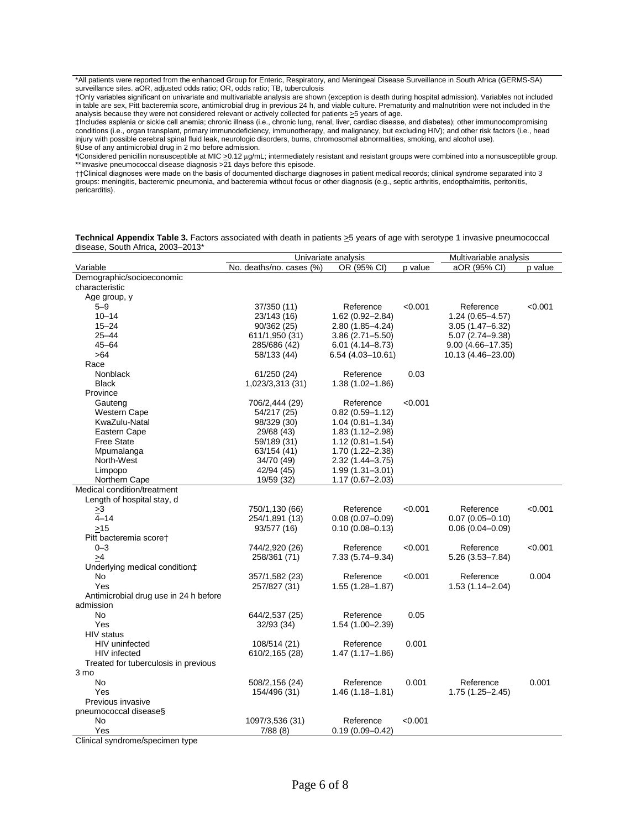\*All patients were reported from the enhanced Group for Enteric, Respiratory, and Meningeal Disease Surveillance in South Africa (GERMS-SA) surveillance sites. aOR, adjusted odds ratio; OR, odds ratio; TB, tuberculosis

†Only variables significant on univariate and multivariable analysis are shown (exception is death during hospital admission). Variables not included in table are sex, Pitt bacteremia score, antimicrobial drug in previous 24 h, and viable culture. Prematurity and malnutrition were not included in the analysis because they were not considered relevant or actively collected for patients  $\geq$ 5 years of age.

‡Includes asplenia or sickle cell anemia; chronic illness (i.e., chronic lung, renal, liver, cardiac disease, and diabetes); other immunocompromising conditions (i.e., organ transplant, primary immunodeficiency, immunotherapy, and malignancy, but excluding HIV); and other risk factors (i.e., head injury with possible cerebral spinal fluid leak, neurologic disorders, burns, chromosomal abnormalities, smoking, and alcohol use). §Use of any antimicrobial drug in 2 mo before admission.

¶Considered penicillin nonsusceptible at MIC > 0.12 μg/mL; intermediately resistant and resistant groups were combined into a nonsusceptible group. \*\*Invasive pneumococcal disease diagnosis >21 days before this episode.

††Clinical diagnoses were made on the basis of documented discharge diagnoses in patient medical records; clinical syndrome separated into 3 groups: meningitis, bacteremic pneumonia, and bacteremia without focus or other diagnosis (e.g., septic arthritis, endopthalmitis, peritonitis, pericarditis).

**Technical Appendix Table 3.** Factors associated with death in patients  $\geq$ 5 years of age with serotype 1 invasive pneumococcal disease, South Africa, 2003–2013\*

|                                       | Univariate analysis      |                     |         | Multivariable analysis |         |
|---------------------------------------|--------------------------|---------------------|---------|------------------------|---------|
| Variable                              | No. deaths/no. cases (%) | OR (95% CI)         | p value | aOR (95% CI)           | p value |
| Demographic/socioeconomic             |                          |                     |         |                        |         |
| characteristic                        |                          |                     |         |                        |         |
| Age group, y                          |                          |                     |         |                        |         |
| $5 - 9$                               | 37/350 (11)              | Reference           | < 0.001 | Reference              | < 0.001 |
| $10 - 14$                             | 23/143 (16)              | 1.62 (0.92-2.84)    |         | $1.24(0.65 - 4.57)$    |         |
| $15 - 24$                             | 90/362 (25)              | 2.80 (1.85-4.24)    |         | $3.05(1.47 - 6.32)$    |         |
| $25 - 44$                             | 611/1,950 (31)           | $3.86(2.71 - 5.50)$ |         | 5.07 (2.74-9.38)       |         |
| $45 - 64$                             | 285/686 (42)             | $6.01(4.14 - 8.73)$ |         | $9.00(4.66 - 17.35)$   |         |
| >64                                   | 58/133 (44)              | 6.54 (4.03-10.61)   |         | 10.13 (4.46–23.00)     |         |
| Race                                  |                          |                     |         |                        |         |
| Nonblack                              | 61/250 (24)              | Reference           | 0.03    |                        |         |
| <b>Black</b>                          | 1,023/3,313 (31)         | $1.38(1.02 - 1.86)$ |         |                        |         |
| Province                              |                          |                     |         |                        |         |
| Gauteng                               | 706/2,444 (29)           | Reference           | < 0.001 |                        |         |
| <b>Western Cape</b>                   | 54/217 (25)              | $0.82(0.59 - 1.12)$ |         |                        |         |
| KwaZulu-Natal                         | 98/329 (30)              | $1.04(0.81 - 1.34)$ |         |                        |         |
| Eastern Cape                          | 29/68 (43)               | $1.83(1.12 - 2.98)$ |         |                        |         |
| <b>Free State</b>                     | 59/189 (31)              | $1.12(0.81 - 1.54)$ |         |                        |         |
| Mpumalanga                            | 63/154 (41)              | 1.70 (1.22-2.38)    |         |                        |         |
| North-West                            | 34/70 (49)               | 2.32 (1.44–3.75)    |         |                        |         |
| Limpopo                               | 42/94 (45)               | $1.99(1.31 - 3.01)$ |         |                        |         |
| Northern Cape                         | 19/59 (32)               | $1.17(0.67 - 2.03)$ |         |                        |         |
| Medical condition/treatment           |                          |                     |         |                        |         |
| Length of hospital stay, d            |                          |                     |         |                        |         |
| >3                                    | 750/1,130 (66)           | Reference           | < 0.001 | Reference              | < 0.001 |
| $4 - 14$                              | 254/1,891 (13)           | $0.08(0.07 - 0.09)$ |         | $0.07(0.05 - 0.10)$    |         |
| >15                                   | 93/577 (16)              | $0.10(0.08 - 0.13)$ |         | $0.06(0.04 - 0.09)$    |         |
| Pitt bacteremia scoret                |                          |                     |         |                        |         |
| $0 - 3$                               | 744/2,920 (26)           | Reference           | < 0.001 | Reference              | < 0.001 |
| >4                                    | 258/361 (71)             | 7.33 (5.74–9.34)    |         | $5.26(3.53 - 7.84)$    |         |
| Underlying medical condition‡         |                          |                     |         |                        |         |
| No                                    | 357/1,582 (23)           | Reference           | < 0.001 | Reference              | 0.004   |
| Yes                                   | 257/827 (31)             | $1.55(1.28 - 1.87)$ |         | $1.53(1.14 - 2.04)$    |         |
| Antimicrobial drug use in 24 h before |                          |                     |         |                        |         |
| admission                             |                          |                     |         |                        |         |
| <b>No</b>                             | 644/2,537 (25)           | Reference           | 0.05    |                        |         |
| Yes                                   | 32/93 (34)               | $1.54(1.00 - 2.39)$ |         |                        |         |
| HIV status                            |                          |                     |         |                        |         |
| <b>HIV</b> uninfected                 | 108/514 (21)             | Reference           | 0.001   |                        |         |
| <b>HIV</b> infected                   | 610/2,165 (28)           | $1.47(1.17 - 1.86)$ |         |                        |         |
| Treated for tuberculosis in previous  |                          |                     |         |                        |         |
| 3 mo                                  |                          |                     |         |                        |         |
| No                                    | 508/2,156 (24)           | Reference           | 0.001   | Reference              | 0.001   |
| Yes                                   | 154/496 (31)             | $1.46(1.18 - 1.81)$ |         | 1.75 (1.25–2.45)       |         |
| Previous invasive                     |                          |                     |         |                        |         |
| pneumococcal disease§                 |                          | Reference           |         |                        |         |
| No                                    | 1097/3,536 (31)          |                     | < 0.001 |                        |         |
| Yes<br>Clinian oundrama/anogimentume  | 7/88(8)                  | $0.19(0.09 - 0.42)$ |         |                        |         |

Clinical syndrome/specimen type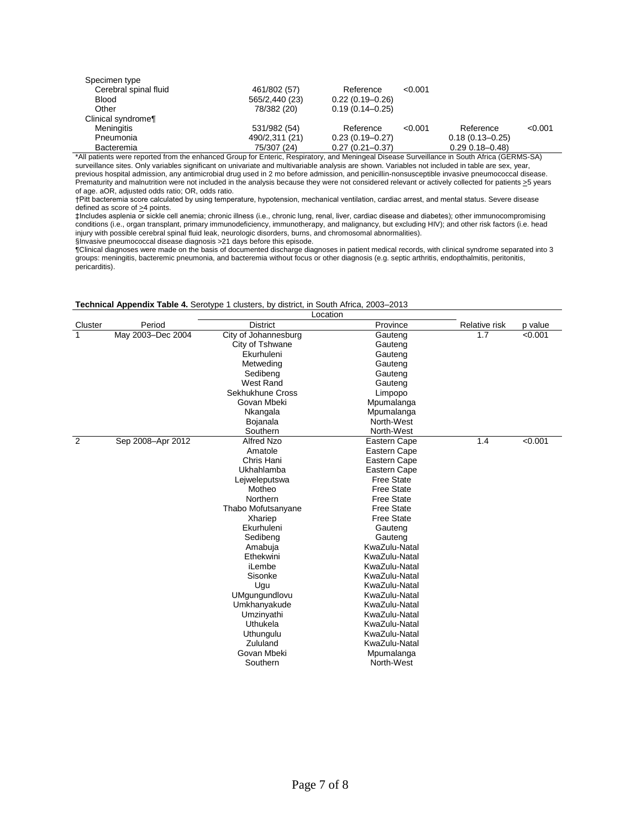| Specimen type         |                |                     |         |                      |         |
|-----------------------|----------------|---------------------|---------|----------------------|---------|
| Cerebral spinal fluid | 461/802 (57)   | Reference           | < 0.001 |                      |         |
| <b>Blood</b>          | 565/2,440 (23) | $0.22(0.19 - 0.26)$ |         |                      |         |
| Other                 | 78/382 (20)    | $0.19(0.14 - 0.25)$ |         |                      |         |
| Clinical syndrome¶    |                |                     |         |                      |         |
| <b>Meningitis</b>     | 531/982 (54)   | Reference           | < 0.001 | Reference            | < 0.001 |
| Pneumonia             | 490/2,311 (21) | $0.23(0.19 - 0.27)$ |         | $0.18(0.13 - 0.25)$  |         |
| Bacteremia            | 75/307 (24)    | $0.27(0.21 - 0.37)$ |         | $0.29$ $0.18 - 0.48$ |         |

\*All patients were reported from the enhanced Group for Enteric, Respiratory, and Meningeal Disease Surveillance in South Africa (GERMS-SA) surveillance sites. Only variables significant on univariate and multivariable analysis are shown. Variables not included in table are sex, year, previous hospital admission, any antimicrobial drug used in 2 mo before admission, and penicillin-nonsusceptible invasive pneumococcal disease. Prematurity and malnutrition were not included in the analysis because they were not considered relevant or actively collected for patients >5 years of age. aOR, adjusted odds ratio; OR, odds ratio.

†Pitt bacteremia score calculated by using temperature, hypotension, mechanical ventilation, cardiac arrest, and mental status. Severe disease defined as score of  $\geq$ 4 points.

‡Includes asplenia or sickle cell anemia; chronic illness (i.e., chronic lung, renal, liver, cardiac disease and diabetes); other immunocompromising conditions (i.e., organ transplant, primary immunodeficiency, immunotherapy, and malignancy, but excluding HIV); and other risk factors (i.e. head injury with possible cerebral spinal fluid leak, neurologic disorders, burns, and chromosomal abnormalities).

§Invasive pneumococcal disease diagnosis >21 days before this episode.

¶Clinical diagnoses were made on the basis of documented discharge diagnoses in patient medical records, with clinical syndrome separated into 3 groups: meningitis, bacteremic pneumonia, and bacteremia without focus or other diagnosis (e.g. septic arthritis, endopthalmitis, peritonitis, pericarditis).

#### **Technical Appendix Table 4.** Serotype 1 clusters, by district, in South Africa, 2003–2013

|                |                   | Location             |                   |               |         |
|----------------|-------------------|----------------------|-------------------|---------------|---------|
| Cluster        | Period            | <b>District</b>      | Province          | Relative risk | p value |
| 1              | May 2003-Dec 2004 | City of Johannesburg | Gauteng           | 1.7           | < 0.001 |
|                |                   | City of Tshwane      | Gauteng           |               |         |
|                |                   | Ekurhuleni           | Gauteng           |               |         |
|                |                   | Metweding            | Gauteng           |               |         |
|                |                   | Sedibeng             | Gauteng           |               |         |
|                |                   | <b>West Rand</b>     | Gauteng           |               |         |
|                |                   | Sekhukhune Cross     | Limpopo           |               |         |
|                |                   | Govan Mbeki          | Mpumalanga        |               |         |
|                |                   | Nkangala             | Mpumalanga        |               |         |
|                |                   | Bojanala             | North-West        |               |         |
|                |                   | Southern             | North-West        |               |         |
| $\overline{2}$ | Sep 2008-Apr 2012 | <b>Alfred Nzo</b>    | Eastern Cape      | 1.4           | < 0.001 |
|                |                   | Amatole              | Eastern Cape      |               |         |
|                |                   | Chris Hani           | Eastern Cape      |               |         |
|                |                   | Ukhahlamba           | Eastern Cape      |               |         |
|                |                   | Lejweleputswa        | <b>Free State</b> |               |         |
|                |                   | Motheo               | <b>Free State</b> |               |         |
|                |                   | Northern             | <b>Free State</b> |               |         |
|                |                   | Thabo Mofutsanyane   | <b>Free State</b> |               |         |
|                |                   | Xhariep              | <b>Free State</b> |               |         |
|                |                   | Ekurhuleni           | Gauteng           |               |         |
|                |                   | Sedibeng             | Gauteng           |               |         |
|                |                   | Amabuja              | KwaZulu-Natal     |               |         |
|                |                   | Ethekwini            | KwaZulu-Natal     |               |         |
|                |                   | iLembe               | KwaZulu-Natal     |               |         |
|                |                   | Sisonke              | KwaZulu-Natal     |               |         |
|                |                   | Ugu                  | KwaZulu-Natal     |               |         |
|                |                   | UMgungundlovu        | KwaZulu-Natal     |               |         |
|                |                   | Umkhanyakude         | KwaZulu-Natal     |               |         |
|                |                   | Umzinyathi           | KwaZulu-Natal     |               |         |
|                |                   | Uthukela             | KwaZulu-Natal     |               |         |
|                |                   | Uthungulu            | KwaZulu-Natal     |               |         |
|                |                   | Zululand             | KwaZulu-Natal     |               |         |
|                |                   | Govan Mbeki          | Mpumalanga        |               |         |
|                |                   | Southern             | North-West        |               |         |